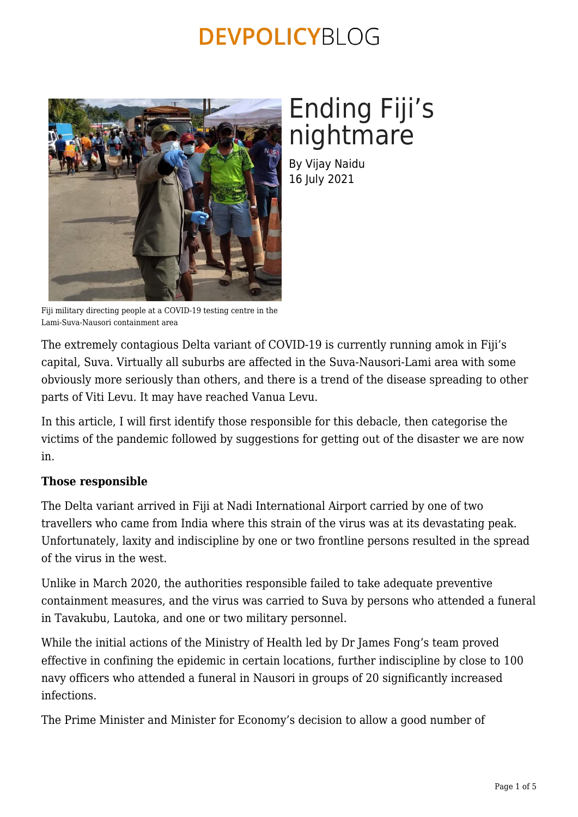

# Ending Fiji's nightmare

By Vijay Naidu 16 July 2021

Fiji military directing people at a COVID-19 testing centre in the Lami-Suva-Nausori containment area

The extremely contagious Delta variant of COVID-19 is currently running amok in Fiji's capital, Suva. Virtually all suburbs are affected in the Suva-Nausori-Lami area with some obviously more seriously than others, and there is a trend of the disease spreading to other parts of Viti Levu. It may have reached Vanua Levu.

In this article, I will first identify those responsible for this debacle, then categorise the victims of the pandemic followed by suggestions for getting out of the disaster we are now in.

### **Those responsible**

The Delta variant arrived in Fiji at Nadi International Airport carried by one of two travellers who came from India where this strain of the virus was at its devastating peak. Unfortunately, laxity and indiscipline by one or two frontline persons resulted in the spread of the virus in the west.

Unlike in March 2020, the authorities responsible failed to take adequate preventive containment measures, and the virus was carried to Suva by persons who attended a funeral in Tavakubu, Lautoka, and one or two military personnel.

While the initial actions of the Ministry of Health led by Dr James Fong's team proved effective in confining the epidemic in certain locations, further indiscipline by close to 100 navy officers who attended a funeral in Nausori in groups of 20 significantly increased infections.

The Prime Minister and Minister for Economy's decision to allow a good number of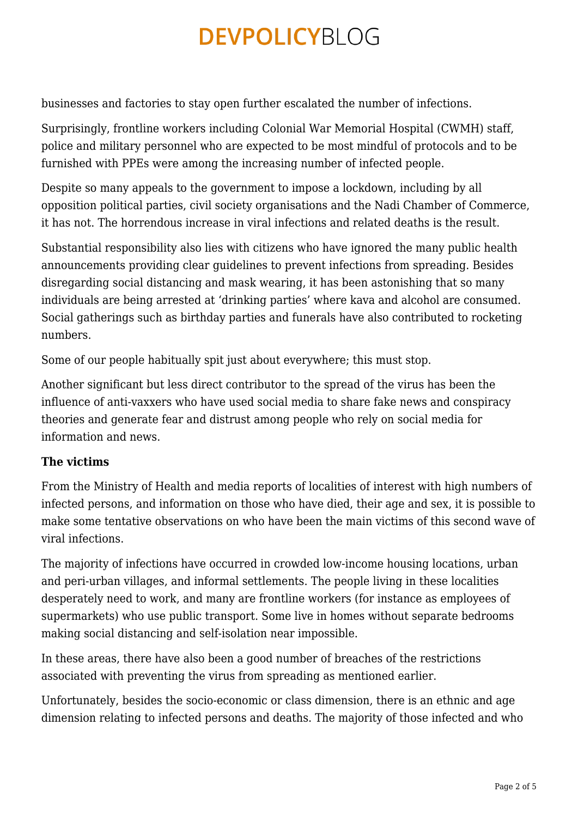businesses and factories to stay open further escalated the number of infections.

Surprisingly, frontline workers including Colonial War Memorial Hospital (CWMH) staff, police and military personnel who are expected to be most mindful of protocols and to be furnished with PPEs were among the increasing number of infected people.

Despite so many appeals to the government to impose a lockdown, including by all opposition political parties, civil society organisations and the Nadi Chamber of Commerce, it has not. The horrendous increase in viral infections and related deaths is the result.

Substantial responsibility also lies with citizens who have ignored the many public health announcements providing clear guidelines to prevent infections from spreading. Besides disregarding social distancing and mask wearing, it has been astonishing that so many individuals are being arrested at 'drinking parties' where kava and alcohol are consumed. Social gatherings such as birthday parties and funerals have also contributed to rocketing numbers.

Some of our people habitually spit just about everywhere; this must stop.

Another significant but less direct contributor to the spread of the virus has been the influence of anti-vaxxers who have used social media to share fake news and conspiracy theories and generate fear and distrust among people who rely on social media for information and news.

#### **The victims**

From the Ministry of Health and media reports of localities of interest with high numbers of infected persons, and information on those who have died, their age and sex, it is possible to make some tentative observations on who have been the main victims of this second wave of viral infections.

The majority of infections have occurred in crowded low-income housing locations, urban and peri-urban villages, and informal settlements. The people living in these localities desperately need to work, and many are frontline workers (for instance as employees of supermarkets) who use public transport. Some live in homes without separate bedrooms making social distancing and self-isolation near impossible.

In these areas, there have also been a good number of breaches of the restrictions associated with preventing the virus from spreading as mentioned earlier.

Unfortunately, besides the socio-economic or class dimension, there is an ethnic and age dimension relating to infected persons and deaths. The majority of those infected and who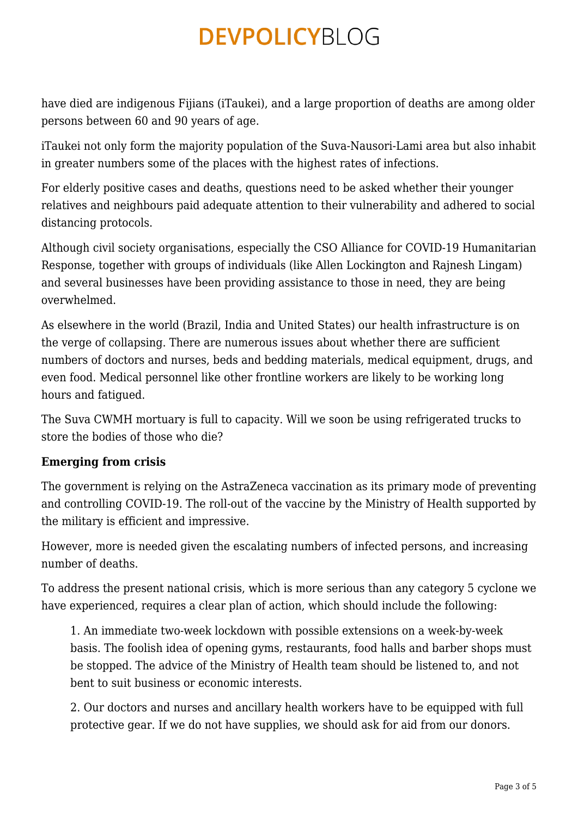have died are indigenous Fijians (iTaukei), and a large proportion of deaths are among older persons between 60 and 90 years of age.

iTaukei not only form the majority population of the Suva-Nausori-Lami area but also inhabit in greater numbers some of the places with the highest rates of infections.

For elderly positive cases and deaths, questions need to be asked whether their younger relatives and neighbours paid adequate attention to their vulnerability and adhered to social distancing protocols.

Although civil society organisations, especially the CSO Alliance for COVID-19 Humanitarian Response, together with groups of individuals (like Allen Lockington and Rajnesh Lingam) and several businesses have been providing assistance to those in need, they are being overwhelmed.

As elsewhere in the world (Brazil, India and United States) our health infrastructure is on the verge of collapsing. There are numerous issues about whether there are sufficient numbers of doctors and nurses, beds and bedding materials, medical equipment, drugs, and even food. Medical personnel like other frontline workers are likely to be working long hours and fatigued.

The Suva CWMH mortuary is full to capacity. Will we soon be using refrigerated trucks to store the bodies of those who die?

#### **Emerging from crisis**

The government is relying on the AstraZeneca vaccination as its primary mode of preventing and controlling COVID-19. The roll-out of the vaccine by the Ministry of Health supported by the military is efficient and impressive.

However, more is needed given the escalating numbers of infected persons, and increasing number of deaths.

To address the present national crisis, which is more serious than any category 5 cyclone we have experienced, requires a clear plan of action, which should include the following:

1. An immediate two-week lockdown with possible extensions on a week-by-week basis. The foolish idea of opening gyms, restaurants, food halls and barber shops must be stopped. The advice of the Ministry of Health team should be listened to, and not bent to suit business or economic interests.

2. Our doctors and nurses and ancillary health workers have to be equipped with full protective gear. If we do not have supplies, we should ask for aid from our donors.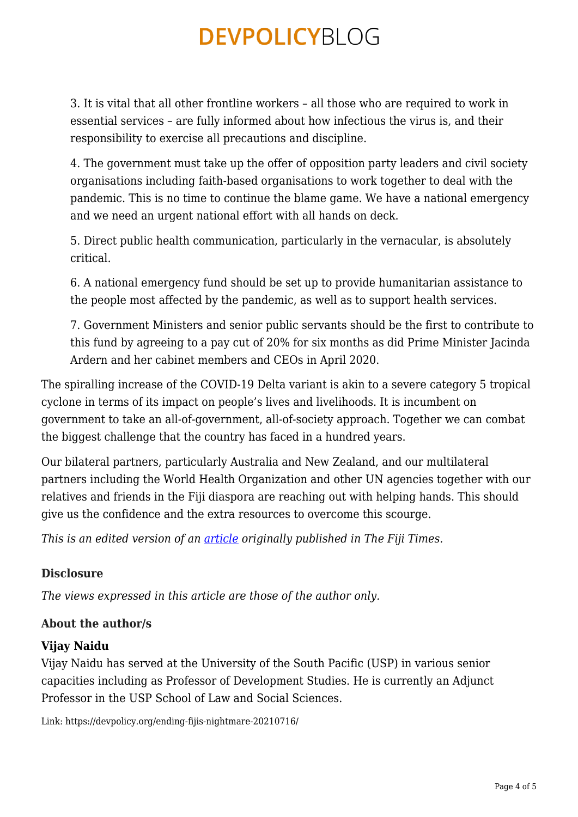3. It is vital that all other frontline workers – all those who are required to work in essential services – are fully informed about how infectious the virus is, and their responsibility to exercise all precautions and discipline.

4. The government must take up the offer of opposition party leaders and civil society organisations including faith-based organisations to work together to deal with the pandemic. This is no time to continue the blame game. We have a national emergency and we need an urgent national effort with all hands on deck.

5. Direct public health communication, particularly in the vernacular, is absolutely critical.

6. A national emergency fund should be set up to provide humanitarian assistance to the people most affected by the pandemic, as well as to support health services.

7. Government Ministers and senior public servants should be the first to contribute to this fund by agreeing to a pay cut of 20% for six months as did Prime Minister Jacinda Ardern and her cabinet members and CEOs in April 2020.

The spiralling increase of the COVID-19 Delta variant is akin to a severe category 5 tropical cyclone in terms of its impact on people's lives and livelihoods. It is incumbent on government to take an all-of-government, all-of-society approach. Together we can combat the biggest challenge that the country has faced in a hundred years.

Our bilateral partners, particularly Australia and New Zealand, and our multilateral partners including the World Health Organization and other UN agencies together with our relatives and friends in the Fiji diaspora are reaching out with helping hands. This should give us the confidence and the extra resources to overcome this scourge.

*This is an edited version of an [article](https://www.fijitimes.com/virus-running-amok-in-a-horrendous-situation-and-how-to-get-out/?fbclid=IwAR2wX3ABDtluNs_nIzoNFAdlCfXwfs0-MMmQik57DhXIFLqycii2lAo1VWE) originally published in The Fiji Times.*

#### **Disclosure**

*The views expressed in this article are those of the author only.*

#### **About the author/s**

#### **Vijay Naidu**

Vijay Naidu has served at the University of the South Pacific (USP) in various senior capacities including as Professor of Development Studies. He is currently an Adjunct Professor in the USP School of Law and Social Sciences.

Link: https://devpolicy.org/ending-fijis-nightmare-20210716/